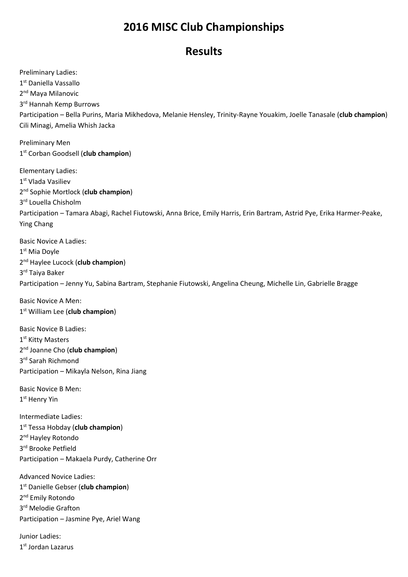## **2016 MISC Club Championships**

## **Results**

Preliminary Ladies: 1<sup>st</sup> Daniella Vassallo 2<sup>nd</sup> Maya Milanovic 3<sup>rd</sup> Hannah Kemp Burrows Participation – Bella Purins, Maria Mikhedova, Melanie Hensley, Trinity-Rayne Youakim, Joelle Tanasale (**club champion**) Cili Minagi, Amelia Whish Jacka

Preliminary Men 1st Corban Goodsell (**club champion**)

Elementary Ladies: 1st Vlada Vasiliev 2nd Sophie Mortlock (**club champion**) 3<sup>rd</sup> Louella Chisholm Participation – Tamara Abagi, Rachel Fiutowski, Anna Brice, Emily Harris, Erin Bartram, Astrid Pye, Erika Harmer-Peake, Ying Chang

Basic Novice A Ladies: 1st Mia Doyle 2nd Haylee Lucock (**club champion**) 3rd Taiya Baker Participation – Jenny Yu, Sabina Bartram, Stephanie Fiutowski, Angelina Cheung, Michelle Lin, Gabrielle Bragge

Basic Novice A Men: 1st William Lee (**club champion**)

Basic Novice B Ladies: 1<sup>st</sup> Kitty Masters 2nd Joanne Cho (**club champion**) 3rd Sarah Richmond Participation – Mikayla Nelson, Rina Jiang

Basic Novice B Men: 1<sup>st</sup> Henry Yin

Intermediate Ladies: 1st Tessa Hobday (**club champion**) 2<sup>nd</sup> Hayley Rotondo 3rd Brooke Petfield Participation – Makaela Purdy, Catherine Orr

Advanced Novice Ladies: 1st Danielle Gebser (**club champion**) 2<sup>nd</sup> Emily Rotondo 3rd Melodie Grafton Participation – Jasmine Pye, Ariel Wang

Junior Ladies: 1st Jordan Lazarus